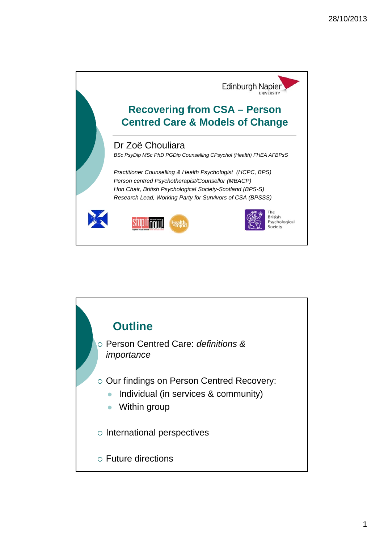

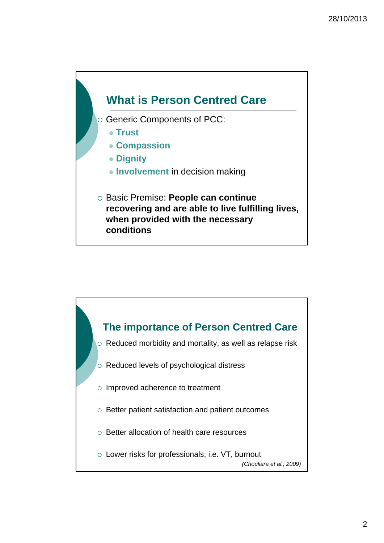

- $\circ$  Generic Components of PCC:
	- **Trust**
	- **Compassion**
	- **Dignity**
	- **Involvement** in decision making
- Basic Premise: **People can continue recovering and are able to live fulfilling lives, when provided with the necessary conditions**

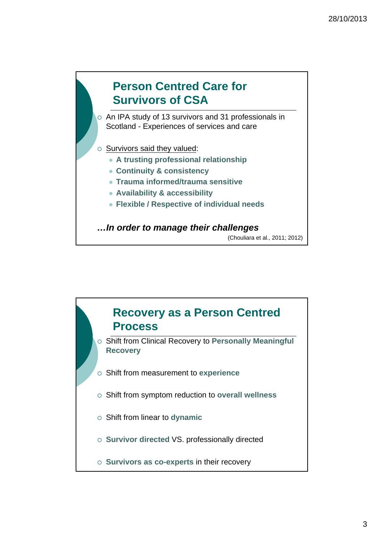

 An IPA study of 13 survivors and 31 professionals in Scotland - Experiences of services and care

### $\circ$  Survivors said they valued:

- **A trusting professional relationship**
- **Continuity & consistency**
- **Trauma informed/trauma sensitive**
- **Availability & accessibility**
- **Flexible / Respective of individual needs**

*…In order to manage their challenges*

(Chouliara et al., 2011; 2012)

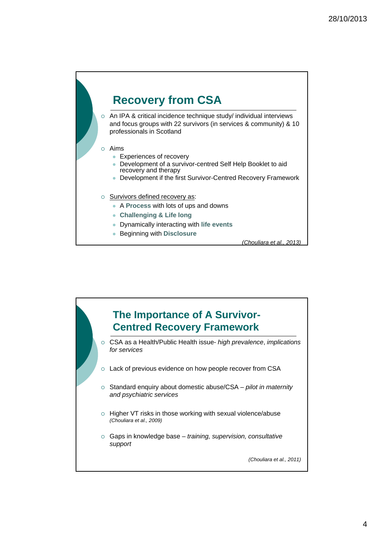## **Recovery from CSA**

 An IPA & critical incidence technique study/ individual interviews and focus groups with 22 survivors (in services & community) & 10 professionals in Scotland

#### Aims

- **Experiences of recovery**
- Development of a survivor-centred Self Help Booklet to aid recovery and therapy
- Development if the first Survivor-Centred Recovery Framework

#### $\circ$  Survivors defined recovery as:

- A **Process** with lots of ups and downs
- **Challenging & Life long**
- Dynamically interacting with **life events**
- Beginning with **Disclosure**

*(Chouliara et al., 2013)*

# **The Importance of A Survivor-Centred Recovery Framework** CSA as a Health/Public Health issue- *high prevalence*, *implications for services* o Lack of previous evidence on how people recover from CSA Standard enquiry about domestic abuse/CSA – *pilot in maternity and psychiatric services*  $\circ$  Higher VT risks in those working with sexual violence/abuse *(Chouliara et al., 2009)* Gaps in knowledge base – *training, supervision, consultative support (Chouliara et al., 2011)*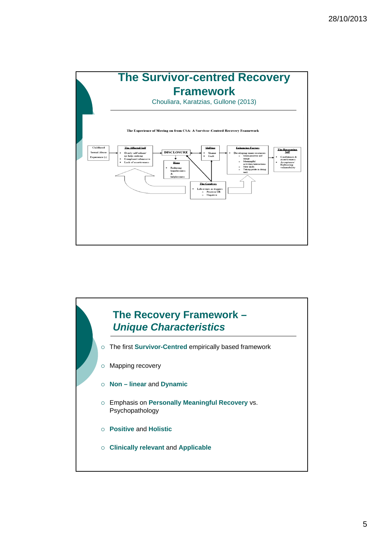

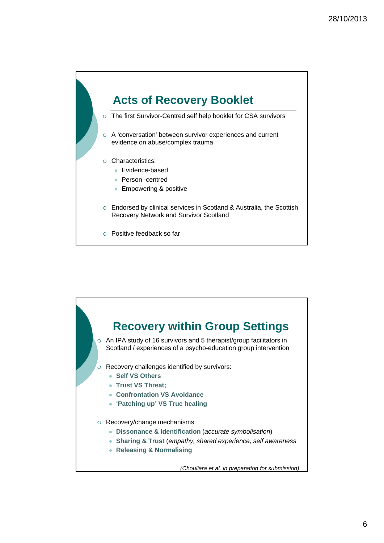

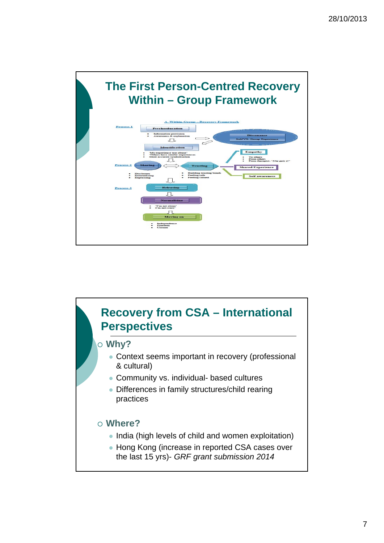

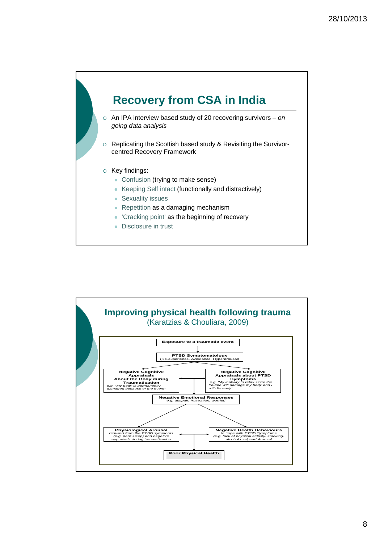

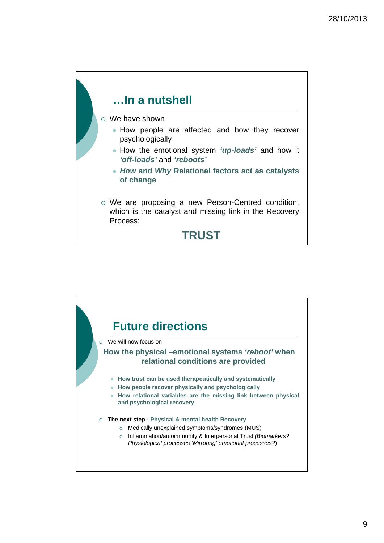

We have shown

- How people are affected and how they recover psychologically
- How the emotional system *'up-loads'* and how it *'off-loads'* and *'reboots'*
- *How* **and** *Why* **Relational factors act as catalysts of change**
- We are proposing a new Person-Centred condition, which is the catalyst and missing link in the Recovery Process:

### **TRUST**

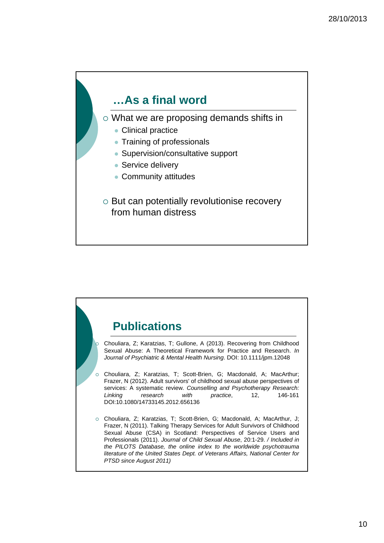## **…As a final word**

What we are proposing demands shifts in

- Clinical practice
- Training of professionals
- Supervision/consultative support
- Service delivery
- Community attitudes
- o But can potentially revolutionise recovery from human distress